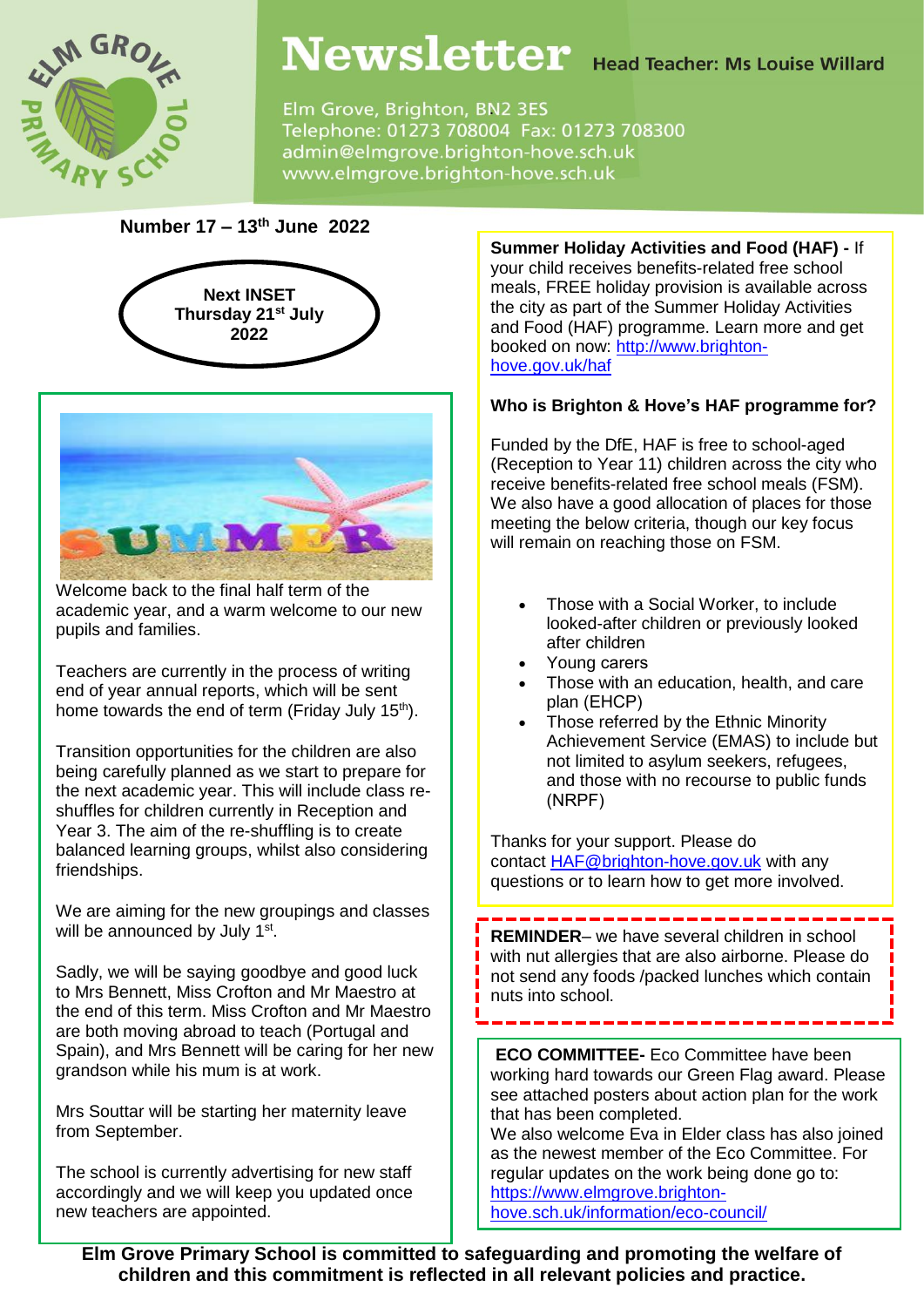

# Newsletter Head Teacher: Ms Louise Willard

Elm Grove, Brighton, BN2 3ES Telephone: 01273 708004 Fax: 01273 708300 admin@elmgrove.brighton-hove.sch.uk www.elmgrove.brighton-hove.sch.uk

## **Number 17 – 13th June 2022**





Welcome back to the final half term of the academic year, and a warm welcome to our new pupils and families.

Teachers are currently in the process of writing end of year annual reports, which will be sent home towards the end of term (Friday July 15<sup>th</sup>).

Transition opportunities for the children are also being carefully planned as we start to prepare for the next academic year. This will include class reshuffles for children currently in Reception and Year 3. The aim of the re-shuffling is to create balanced learning groups, whilst also considering friendships.

We are aiming for the new groupings and classes will be announced by July 1<sup>st</sup>.

Sadly, we will be saying goodbye and good luck to Mrs Bennett, Miss Crofton and Mr Maestro at the end of this term. Miss Crofton and Mr Maestro are both moving abroad to teach (Portugal and Spain), and Mrs Bennett will be caring for her new grandson while his mum is at work.

Mrs Souttar will be starting her maternity leave from September.

The school is currently advertising for new staff accordingly and we will keep you updated once new teachers are appointed.

**Summer Holiday Activities and Food (HAF) -** If your child receives benefits-related free school meals, FREE holiday provision is available across the city as part of the Summer Holiday Activities and Food (HAF) programme. Learn more and get booked on now: [http://www.brighton](http://www.brighton-hove.gov.uk/haf)[hove.gov.uk/haf](http://www.brighton-hove.gov.uk/haf)

### **Who is Brighton & Hove's HAF programme for?**

Funded by the DfE, HAF is free to school-aged (Reception to Year 11) children across the city who receive benefits-related free school meals (FSM). We also have a good allocation of places for those meeting the below criteria, though our key focus will remain on reaching those on FSM.

- Those with a Social Worker, to include looked-after children or previously looked after children
- Young carers
- Those with an education, health, and care plan (EHCP)
- Those referred by the Ethnic Minority Achievement Service (EMAS) to include but not limited to asylum seekers, refugees, and those with no recourse to public funds (NRPF)

Thanks for your support. Please do contact [HAF@brighton-hove.gov.uk](mailto:HAF@brighton-hove.gov.uk) with any questions or to learn how to get more involved.

**REMINDER**– we have several children in school with nut allergies that are also airborne. Please do not send any foods /packed lunches which contain nuts into school.

**ECO COMMITTEE-** Eco Committee have been working hard towards our Green Flag award. Please see attached posters about action plan for the work that has been completed.

We also welcome Eva in Elder class has also joined as the newest member of the Eco Committee. For regular updates on the work being done go to: [https://www.elmgrove.brighton](https://www.elmgrove.brighton-hove.sch.uk/information/eco-council/)[hove.sch.uk/information/eco-council/](https://www.elmgrove.brighton-hove.sch.uk/information/eco-council/)

**Elm Grove Primary School is committed to safeguarding and promoting the welfare of children and this commitment is reflected in all relevant policies and practice.**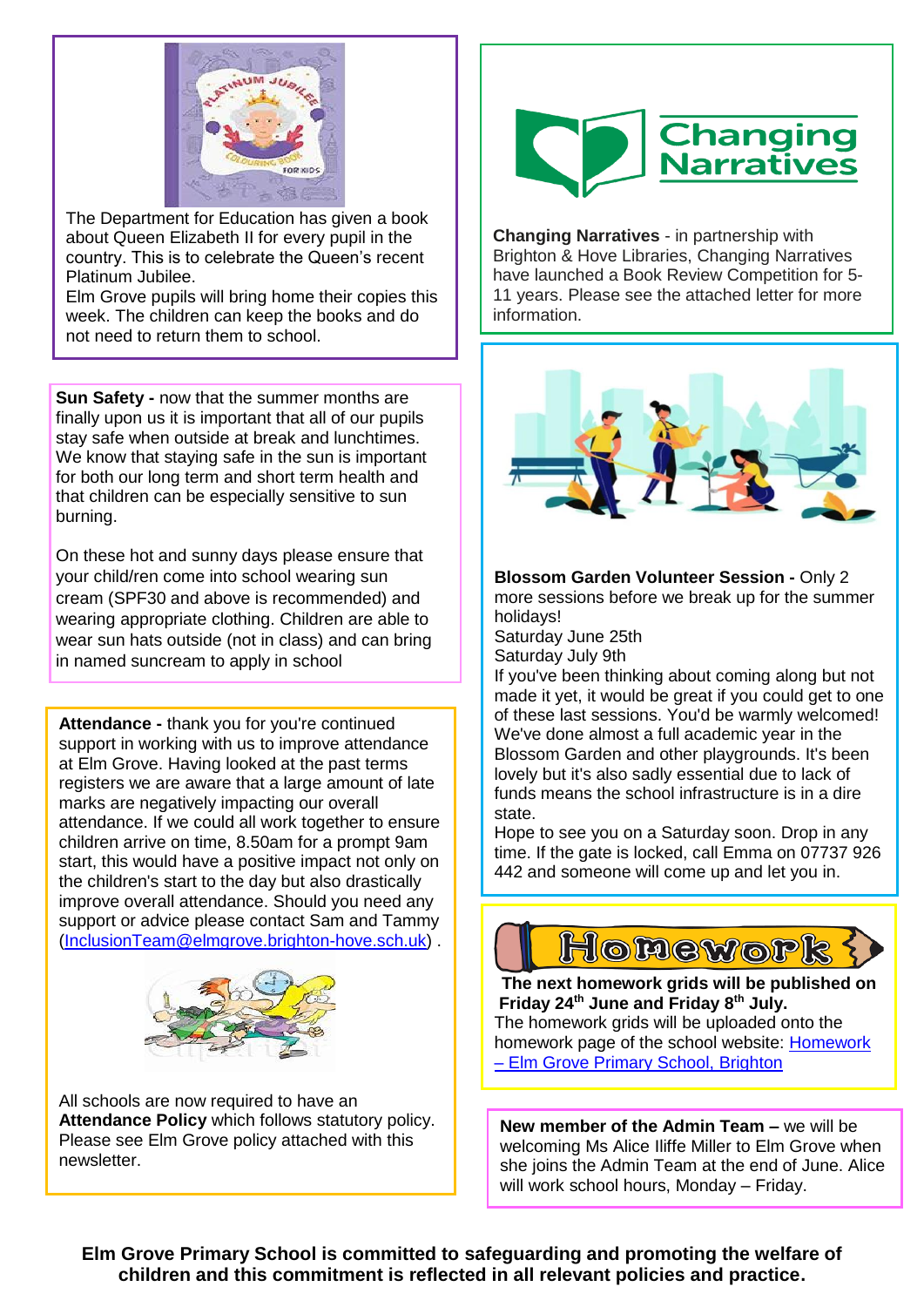

The Department for Education has given a book<br>about Queen Elizabeth II for every pupil in the about Gueen's England in the overy paper in the country. This is to celebrate the Queen's recent Platinum Jubilee. The Department for Education has given a book

Elm Grove pupils will bring home their copies this week. The children can keep the books and do not need to return them to school.

**Sun Safety -** now that the summer months are finally upon us it is important that all of our pupils stay safe when outside at break and lunchtimes. We know that staying safe in the sun is important for both our long term and short term health and that children can be especially sensitive to sun burning.

On these hot and sunny days please ensure that your child/ren come into school wearing sun cream (SPF30 and above is recommended) and wearing appropriate clothing. Children are able to wear sun hats outside (not in class) and can bring in named suncream to apply in school

**Attendance -** thank you for you're continued support in working with us to improve attendance at Elm Grove. Having looked at the past terms registers we are aware that a large amount of late marks are negatively impacting our overall attendance. If we could all work together to ensure children arrive on time, 8.50am for a prompt 9am start, this would have a positive impact not only on the children's start to the day but also drastically improve overall attendance. Should you need any support or advice please contact Sam and Tammy [\(InclusionTeam@elmgrove.brighton-hove.sch.uk\)](mailto:InclusionTeam@elmgrove.brighton-hove.sch.uk) .



All schools are now required to have an **Attendance Policy** which follows statutory policy. Please see Elm Grove policy attached with this newsletter.



**Changing Narratives** - in partnership with Brighton & Hove Libraries, Changing Narratives have launched a Book Review Competition for 5- 11 years. Please see the attached letter for more information.



**Blossom Garden Volunteer Session -** Only 2 more sessions before we break up for the summer holidays!

Saturday June 25th Saturday July 9th

If you've been thinking about coming along but not made it yet, it would be great if you could get to one of these last sessions. You'd be warmly welcomed! We've done almost a full academic year in the Blossom Garden and other playgrounds. It's been lovely but it's also sadly essential due to lack of funds means the school infrastructure is in a dire state.

Hope to see you on a Saturday soon. Drop in any time. If the gate is locked, call Emma on 07737 926 442 and someone will come up and let you in.



**The next homework grids will be published on Friday 24th June and Friday 8th July.** The homework grids will be uploaded onto the homework page of the school website: [Homework](https://www.elmgrove.brighton-hove.sch.uk/year-groups/homework/)  – [Elm Grove Primary School,](https://www.elmgrove.brighton-hove.sch.uk/year-groups/homework/) Brighton

**New member of the Admin Team –** we will be welcoming Ms Alice Iliffe Miller to Elm Grove when she joins the Admin Team at the end of June. Alice will work school hours, Monday – Friday.

**Elm Grove Primary School is committed to safeguarding and promoting the welfare of children and this commitment is reflected in all relevant policies and practice.**